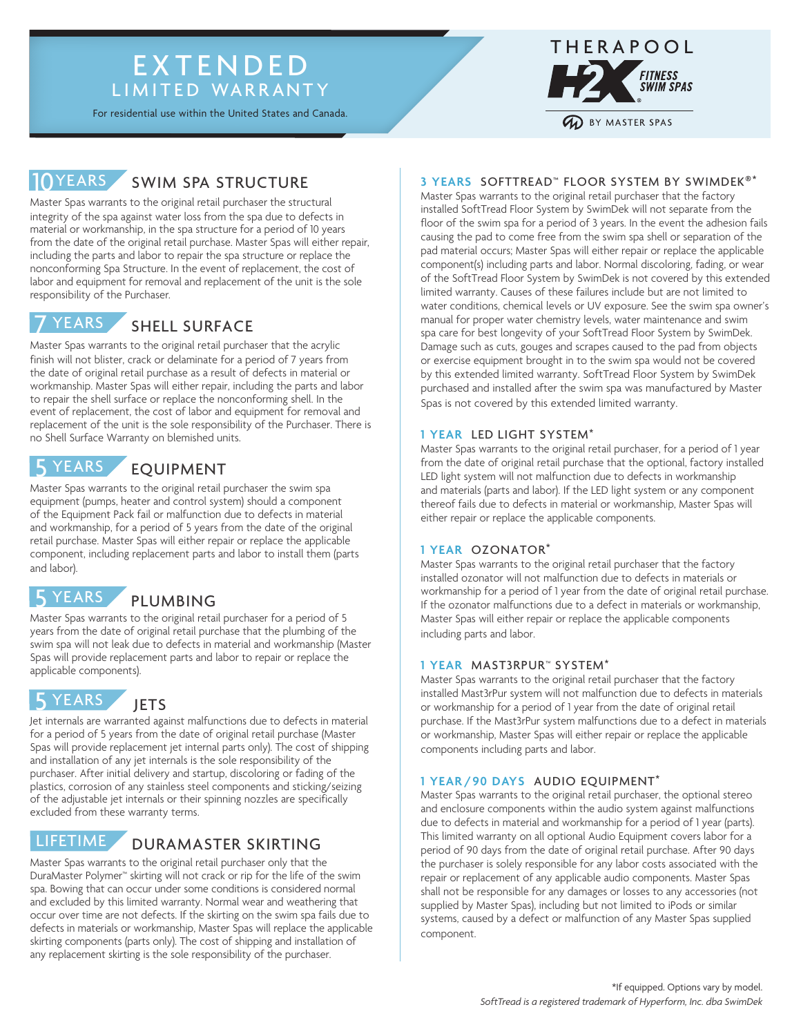## EXTENDED LIMITED WARRANTY

For residential use within the United States and Canada.



# 10YEARS SWIM SPA STRUCTURE

Master Spas warrants to the original retail purchaser the structural integrity of the spa against water loss from the spa due to defects in material or workmanship, in the spa structure for a period of 10 years from the date of the original retail purchase. Master Spas will either repair, including the parts and labor to repair the spa structure or replace the nonconforming Spa Structure. In the event of replacement, the cost of labor and equipment for removal and replacement of the unit is the sole responsibility of the Purchaser.



## SHELL SURFACE

Master Spas warrants to the original retail purchaser that the acrylic finish will not blister, crack or delaminate for a period of 7 years from the date of original retail purchase as a result of defects in material or workmanship. Master Spas will either repair, including the parts and labor to repair the shell surface or replace the nonconforming shell. In the event of replacement, the cost of labor and equipment for removal and replacement of the unit is the sole responsibility of the Purchaser. There is no Shell Surface Warranty on blemished units.

#### EQUIPMENT **YEARS**

Master Spas warrants to the original retail purchaser the swim spa equipment (pumps, heater and control system) should a component of the Equipment Pack fail or malfunction due to defects in material and workmanship, for a period of 5 years from the date of the original retail purchase. Master Spas will either repair or replace the applicable component, including replacement parts and labor to install them (parts and labor).

#### PLUMBING **YEARS**

Master Spas warrants to the original retail purchaser for a period of 5 years from the date of original retail purchase that the plumbing of the swim spa will not leak due to defects in material and workmanship (Master Spas will provide replacement parts and labor to repair or replace the applicable components).

**JETS YEARS** 

Jet internals are warranted against malfunctions due to defects in material for a period of 5 years from the date of original retail purchase (Master Spas will provide replacement jet internal parts only). The cost of shipping and installation of any jet internals is the sole responsibility of the purchaser. After initial delivery and startup, discoloring or fading of the plastics, corrosion of any stainless steel components and sticking/seizing of the adjustable jet internals or their spinning nozzles are specifically excluded from these warranty terms.

#### DURAMASTER SKIRTING LIFETIME

Master Spas warrants to the original retail purchaser only that the DuraMaster Polymer™ skirting will not crack or rip for the life of the swim spa. Bowing that can occur under some conditions is considered normal and excluded by this limited warranty. Normal wear and weathering that occur over time are not defects. If the skirting on the swim spa fails due to defects in materials or workmanship, Master Spas will replace the applicable skirting components (parts only). The cost of shipping and installation of any replacement skirting is the sole responsibility of the purchaser.

## **3 YEARS** SOFTTREAD™ FLOOR SYSTEM BY SWIMDEK®\*

Master Spas warrants to the original retail purchaser that the factory installed SoftTread Floor System by SwimDek will not separate from the floor of the swim spa for a period of 3 years. In the event the adhesion fails causing the pad to come free from the swim spa shell or separation of the pad material occurs; Master Spas will either repair or replace the applicable component(s) including parts and labor. Normal discoloring, fading, or wear of the SoftTread Floor System by SwimDek is not covered by this extended limited warranty. Causes of these failures include but are not limited to water conditions, chemical levels or UV exposure. See the swim spa owner's manual for proper water chemistry levels, water maintenance and swim spa care for best longevity of your SoftTread Floor System by SwimDek. Damage such as cuts, gouges and scrapes caused to the pad from objects or exercise equipment brought in to the swim spa would not be covered by this extended limited warranty. SoftTread Floor System by SwimDek purchased and installed after the swim spa was manufactured by Master Spas is not covered by this extended limited warranty.

#### **1 YEAR** LED LIGHT SYSTEM\*

Master Spas warrants to the original retail purchaser, for a period of 1 year from the date of original retail purchase that the optional, factory installed LED light system will not malfunction due to defects in workmanship and materials (parts and labor). If the LED light system or any component thereof fails due to defects in material or workmanship, Master Spas will either repair or replace the applicable components.

#### **1 YEAR** OZONATOR\*

Master Spas warrants to the original retail purchaser that the factory installed ozonator will not malfunction due to defects in materials or workmanship for a period of 1 year from the date of original retail purchase. If the ozonator malfunctions due to a defect in materials or workmanship, Master Spas will either repair or replace the applicable components including parts and labor.

#### **1 YEAR** MAST3RPUR™ SYSTEM\*

Master Spas warrants to the original retail purchaser that the factory installed Mast3rPur system will not malfunction due to defects in materials or workmanship for a period of 1 year from the date of original retail purchase. If the Mast3rPur system malfunctions due to a defect in materials or workmanship, Master Spas will either repair or replace the applicable components including parts and labor.

## **1 YEAR /90 DAYS** AUDIO EQUIPMENT\*

Master Spas warrants to the original retail purchaser, the optional stereo and enclosure components within the audio system against malfunctions due to defects in material and workmanship for a period of 1 year (parts). This limited warranty on all optional Audio Equipment covers labor for a period of 90 days from the date of original retail purchase. After 90 days the purchaser is solely responsible for any labor costs associated with the repair or replacement of any applicable audio components. Master Spas shall not be responsible for any damages or losses to any accessories (not supplied by Master Spas), including but not limited to iPods or similar systems, caused by a defect or malfunction of any Master Spas supplied component.